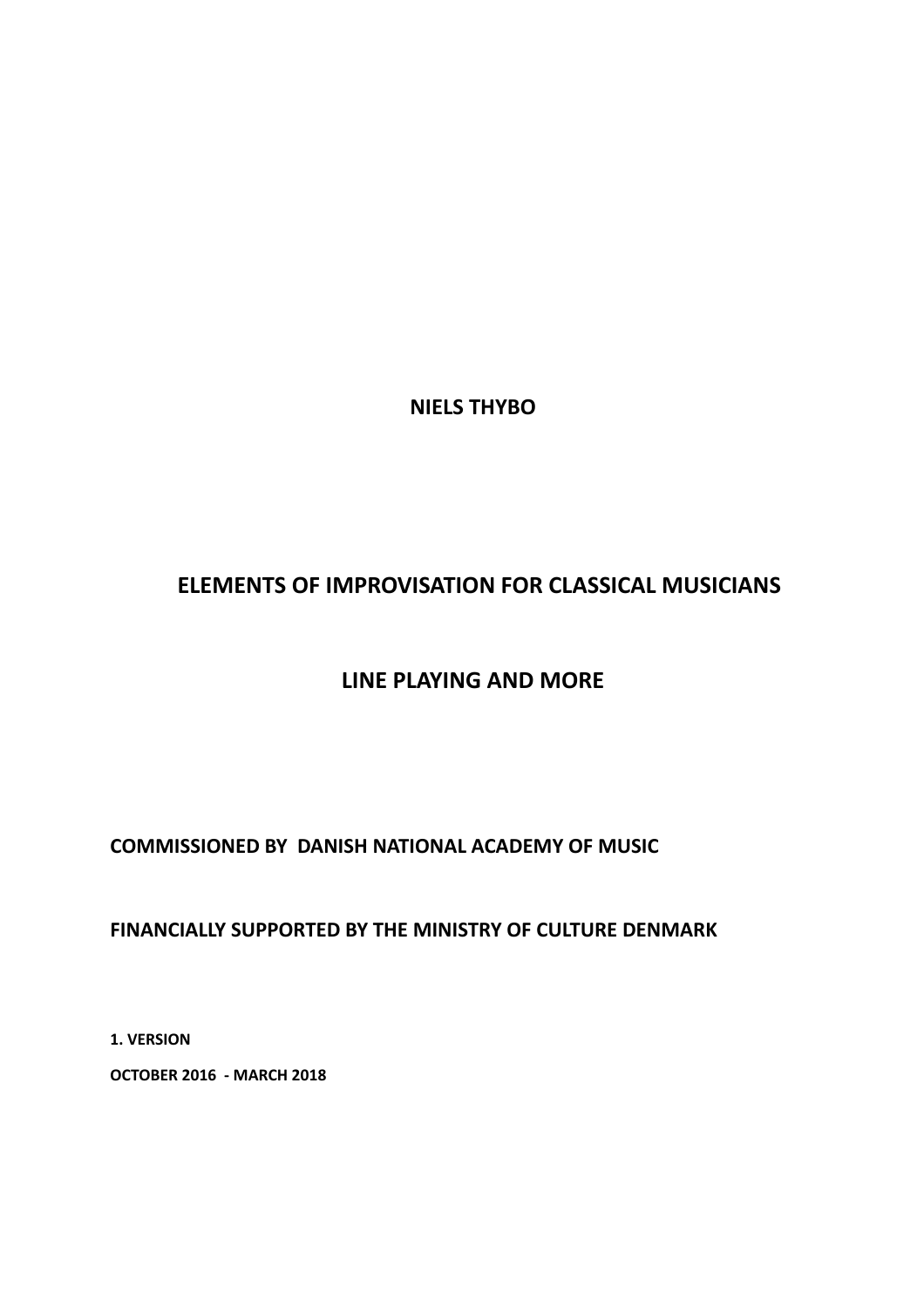**NIELS THYBO** 

# **ELEMENTS OF IMPROVISATION FOR CLASSICAL MUSICIANS**

# **LINE PLAYING AND MORE**

# **COMMISSIONED BY DANISH NATIONAL ACADEMY OF MUSIC**

# FINANCIALLY SUPPORTED BY THE MINISTRY OF CULTURE DENMARK

**1. VERSION** 

**OCTOBER 2016 - MARCH 2018**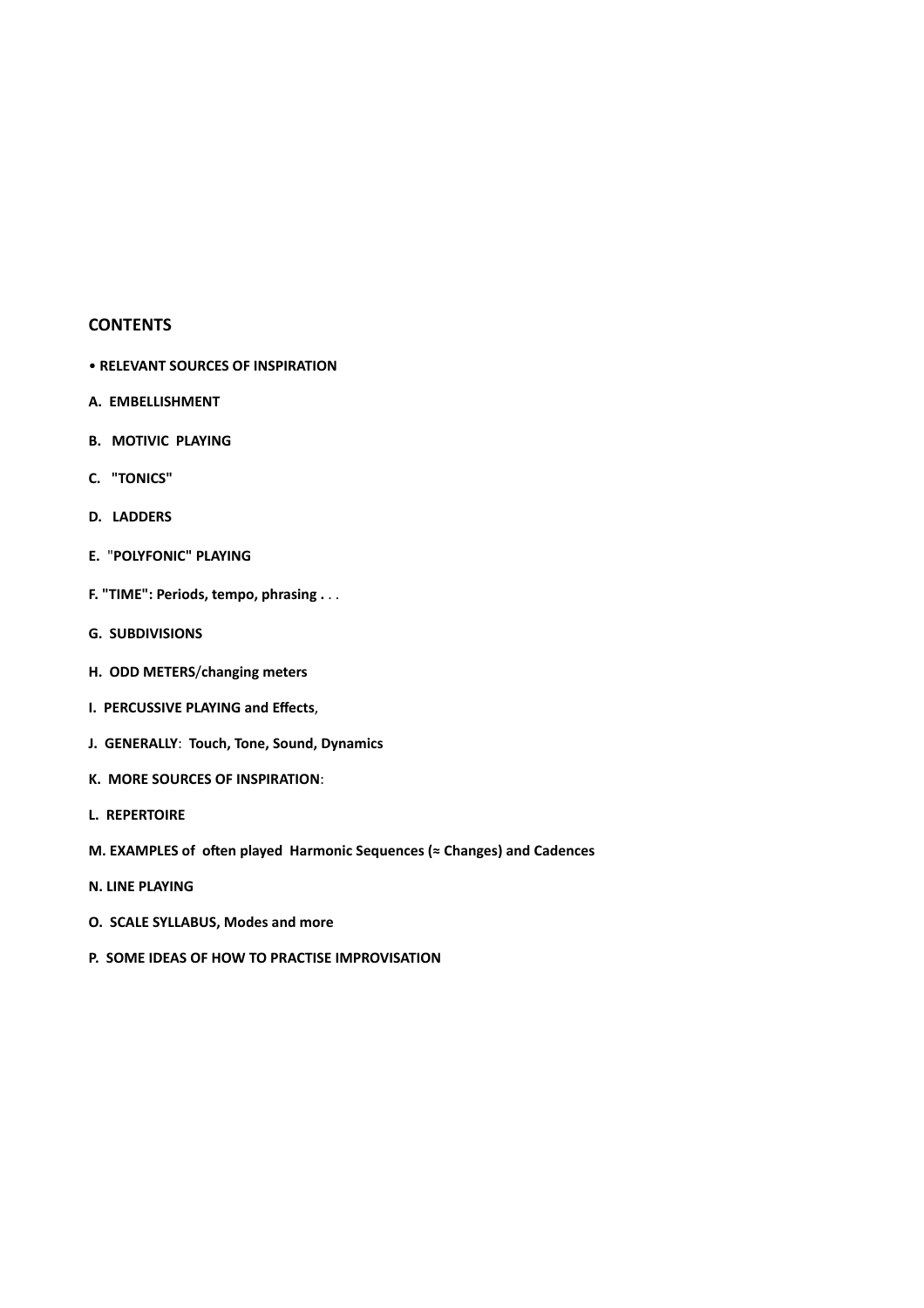#### **CONTENTS**

- **RELEVANT SOURCES OF INSPIRATION**
- **A. EMBELLISHMENT**
- **B. MOTIVIC PLAYING**
- **C. "TONICS"**
- **D.** LADDERS
- **E.** "**POLYFONIC" PLAYING**
- **F.** "TIME": Periods, tempo, phrasing . . .
- **G. SUBDIVISIONS**
- **H. ODD METERS**/**changing meters**
- **I. PERCUSSIVE PLAYING and Effects,**
- **J. GENERALLY: Touch, Tone, Sound, Dynamics**
- **K. MORE SOURCES OF INSPIRATION**:
- **L. REPERTOIRE**
- **M. EXAMPLES of often played Harmonic Sequences (≈ Changes) and Cadences**
- **N. LINE PLAYING**
- **O.** SCALE SYLLABUS, Modes and more
- **P. SOME IDEAS OF HOW TO PRACTISE IMPROVISATION**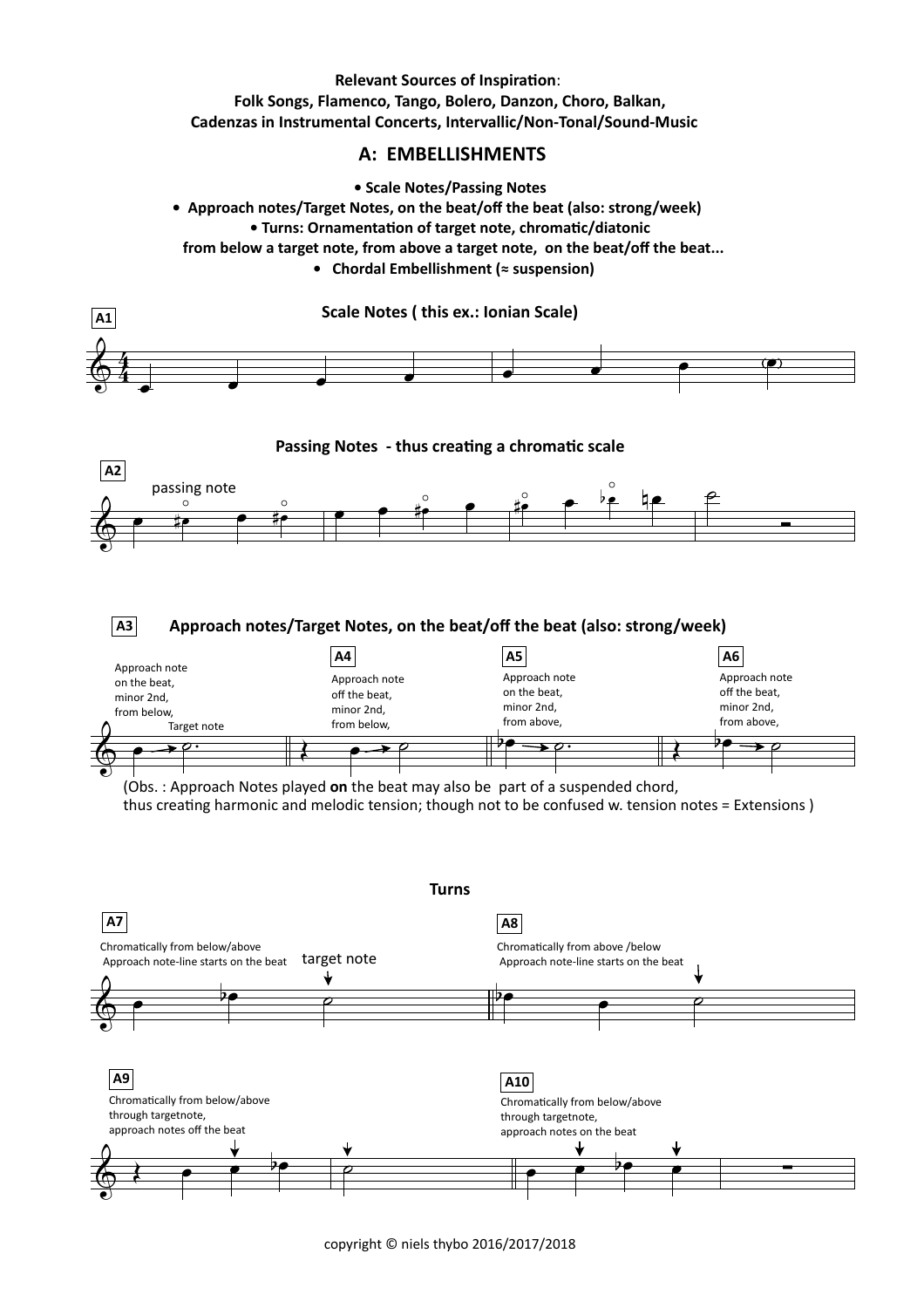## **Relevant Sources of Inspiration: Folk Songs, Flamenco, Tango, Bolero, Danzon, Choro, Balkan, Cadenzas in Instrumental Concerts, Intervallic/Non-Tonal/Sound-Music**

# **A: EMBELLISHMENTS**

**• Scale Notes/Passing Notes**

**• Approach notes/Target Notes, on the beat/off the beat (also: strong/week) • Turns: Ornamentation of target note, chromatic/diatonic** from below a target note, from above a target note, on the beat/off the beat...  **• Chordal Embellishment (≈ suspension)**



copyright  $\odot$  niels thybo 2016/2017/2018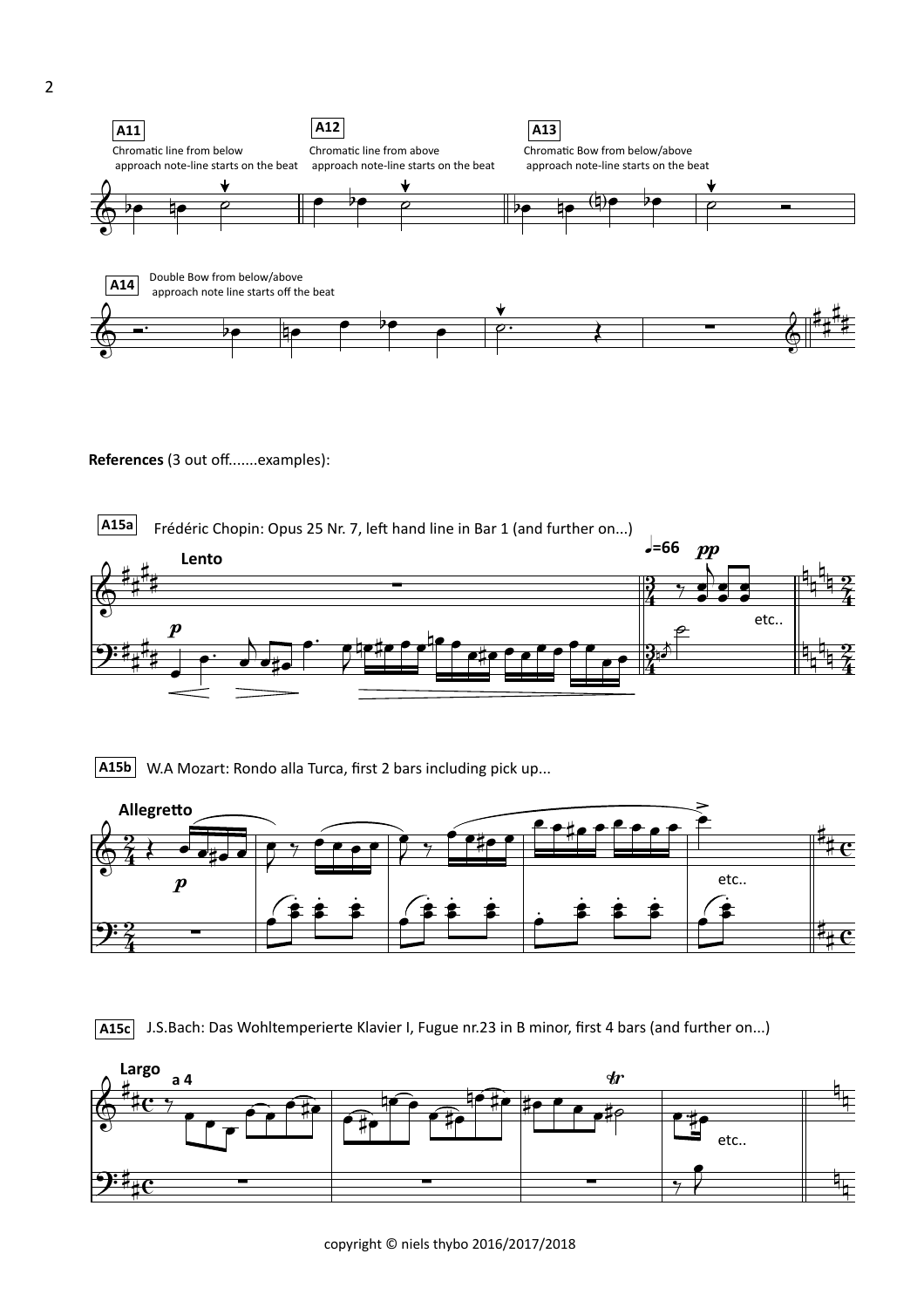

**References** (3 out off.......examples):



**A15b** W.A Mozart: Rondo alla Turca, first 2 bars including pick up...





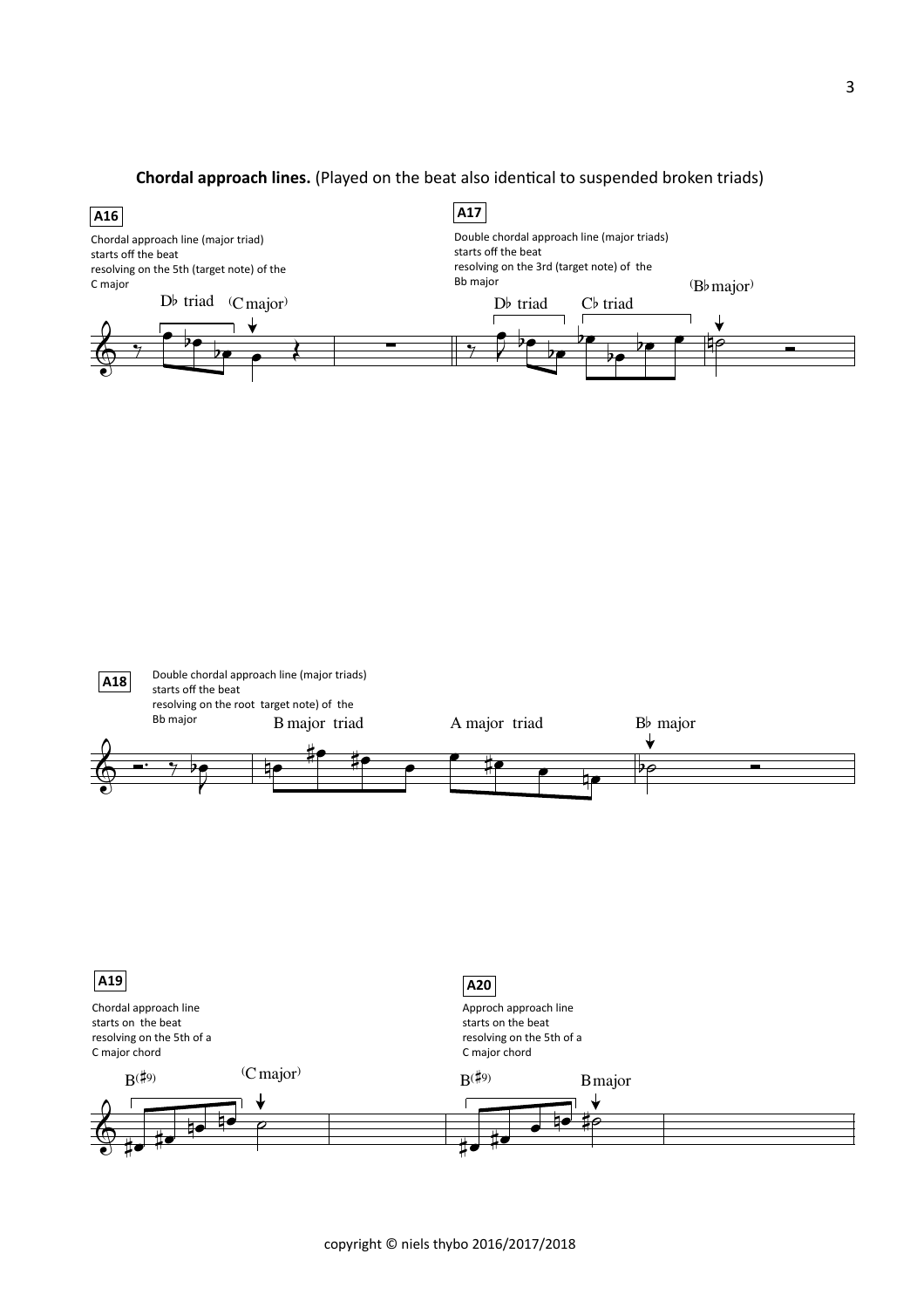#### **Chordal approach lines.** (Played on the beat also identical to suspended broken triads)





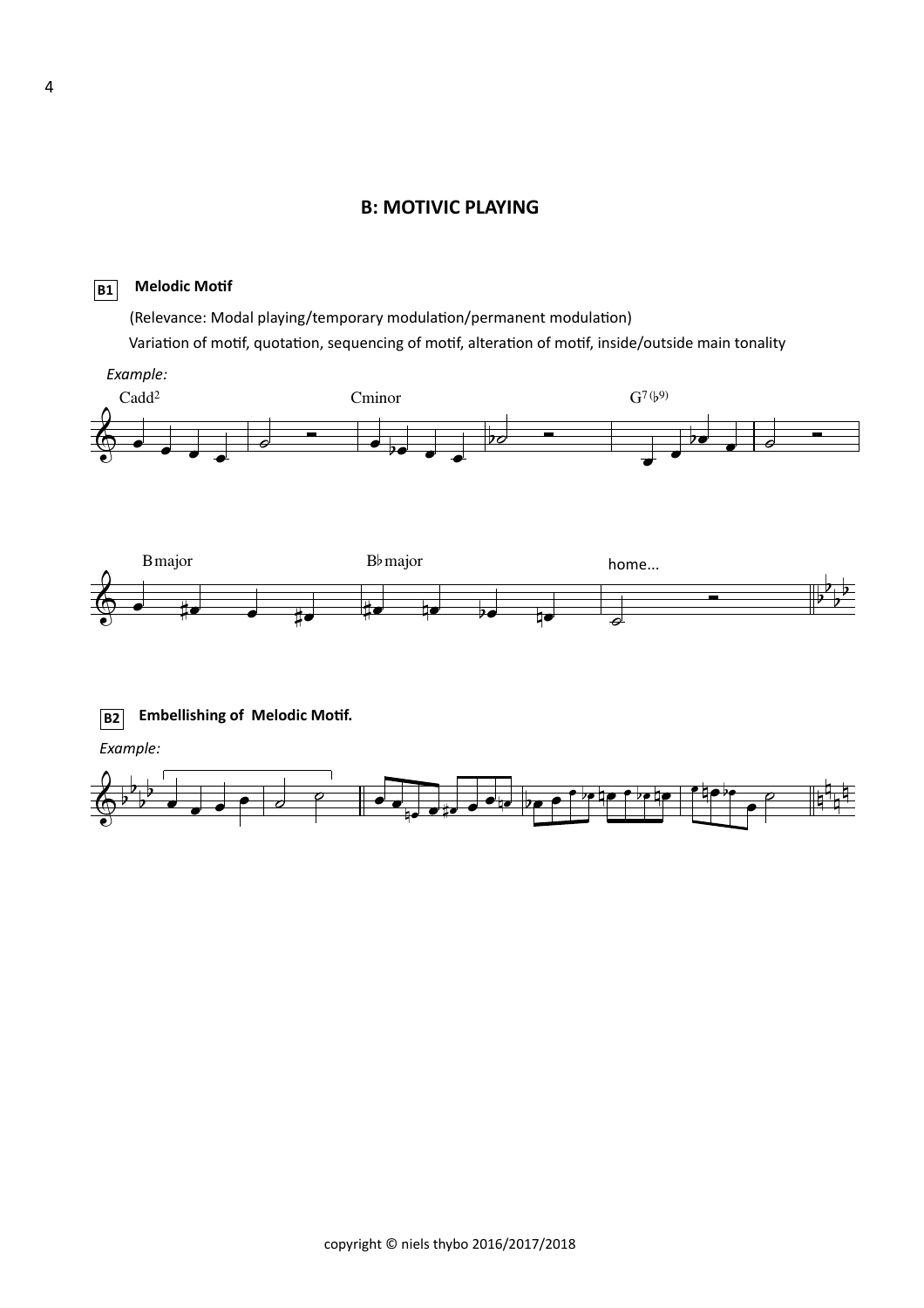## **B: MOTIVIC PLAYING**

#### **B1 Melodic Motif**

Variation of motif, quotation, sequencing of motif, alteration of motif, inside/outside main tonality (Relevance: Modal playing/temporary modulation/permanent modulation)

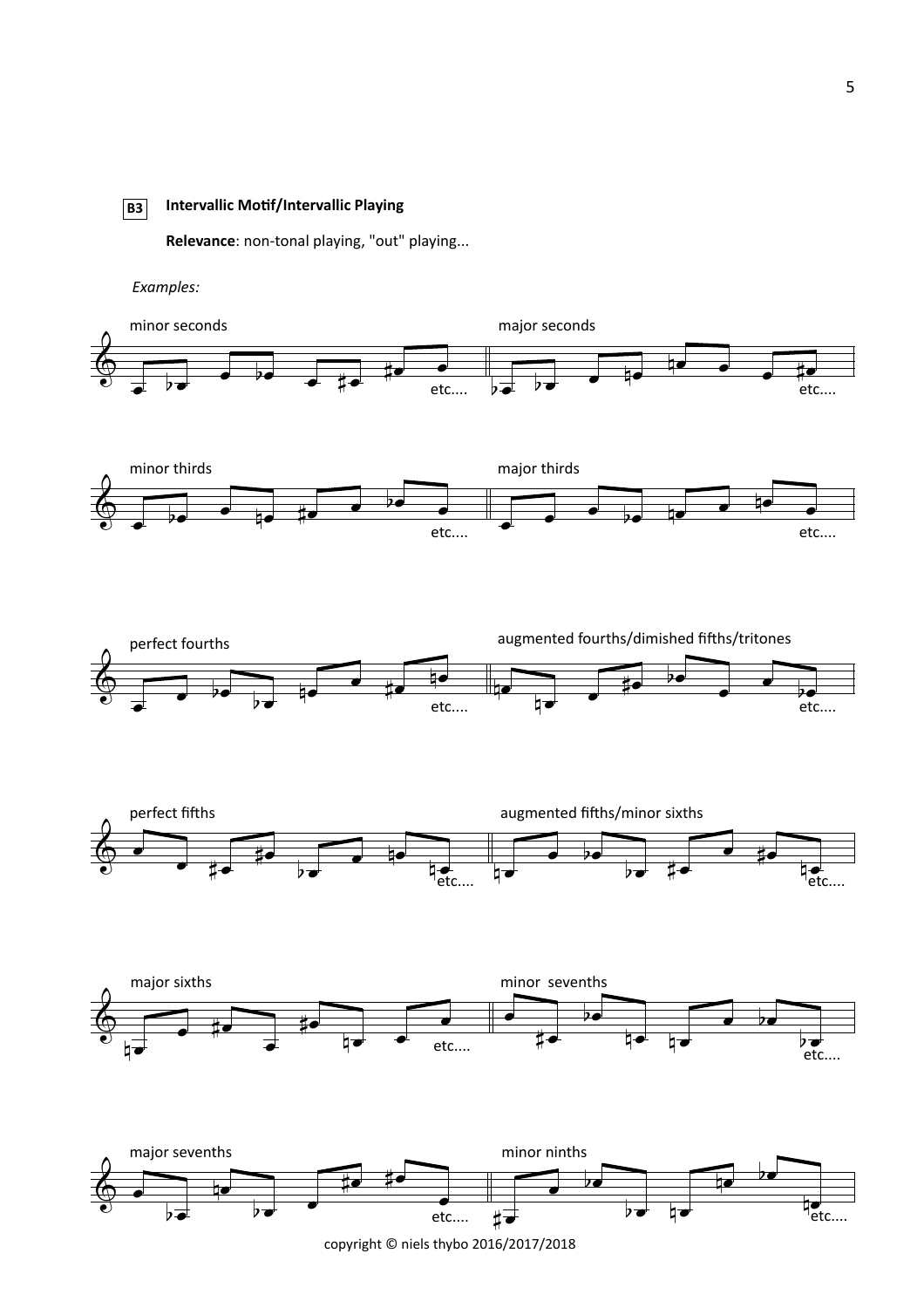#### **B3 Intervallic MoBf/Intervallic Playing**

Relevance: non-tonal playing, "out" playing...

*Examples:*



copyright  $©$  niels thybo 2016/2017/2018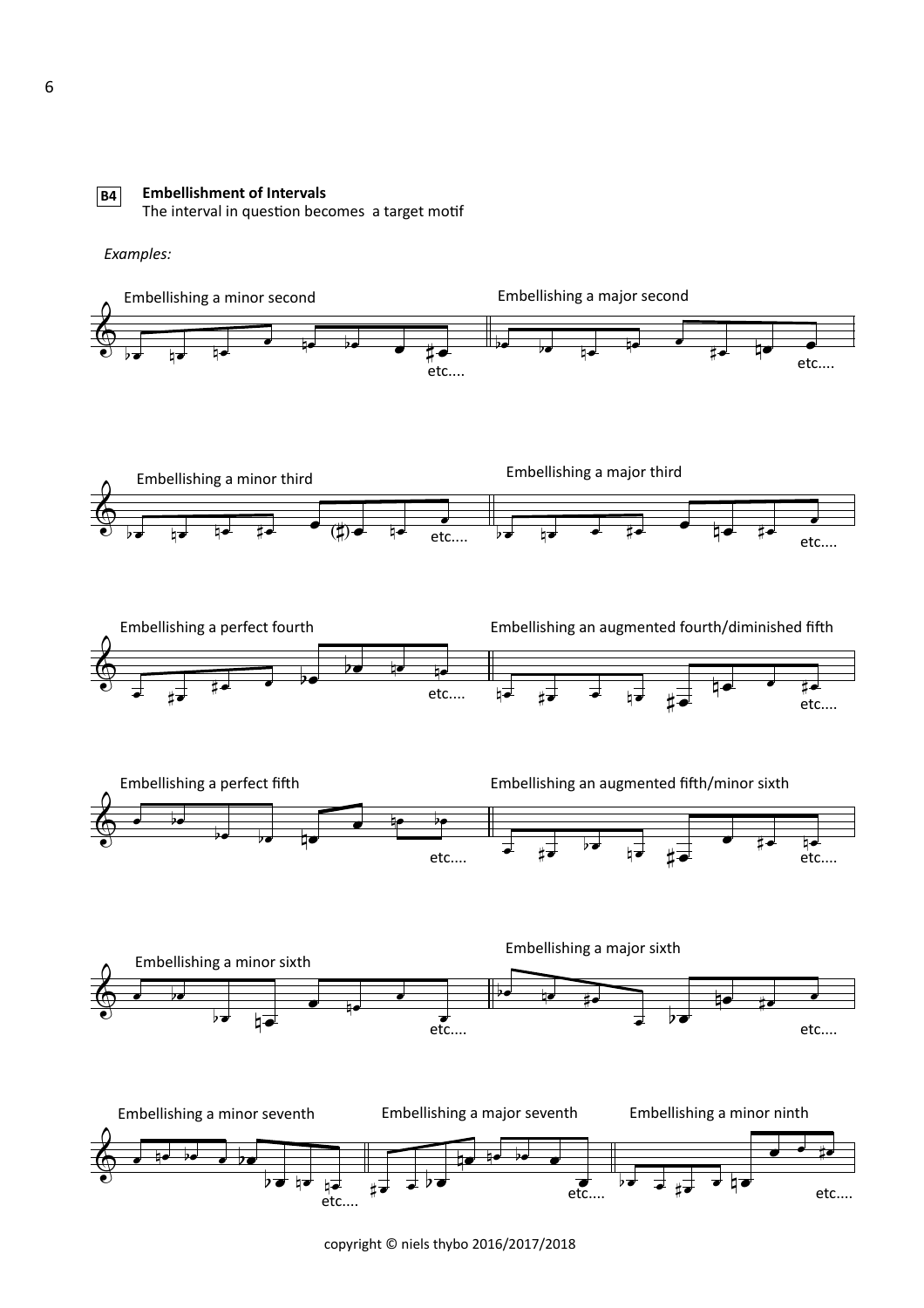

#### **Embellishment of Intervals**

The interval in question becomes a target motif

*Examples:*



copyright  $©$  niels thybo 2016/2017/2018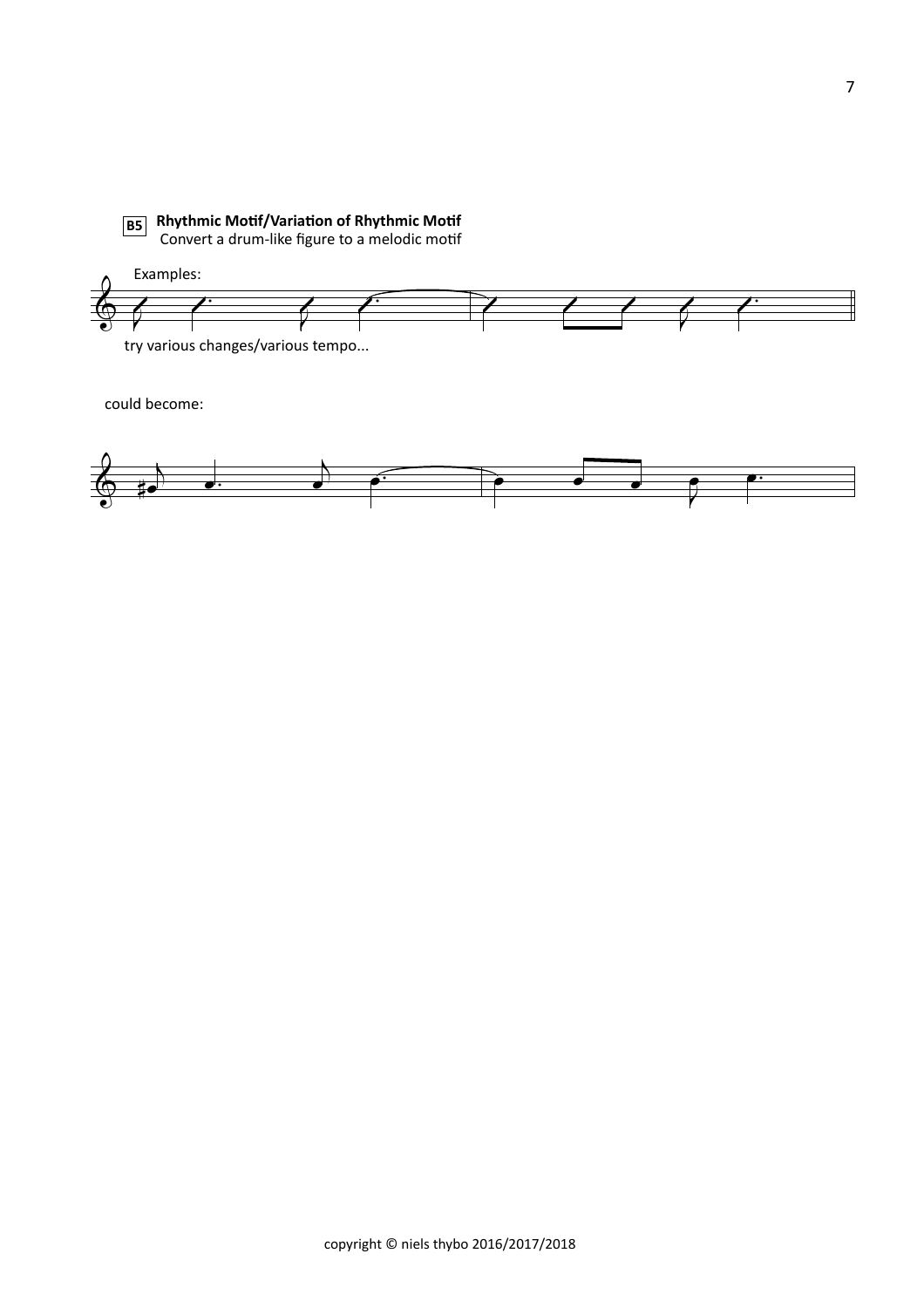**B5** Rhythmic Motif/Variation of Rhythmic Motif ◯ Convert a drum-like figure to a melodic motif

Examples:  $\sqrt{2}$  $\sqrt{2}$  $\sqrt{2}$  $\frac{1}{1}$ &  $\overline{\theta}$ 

try various changes/various tempo...

could become:

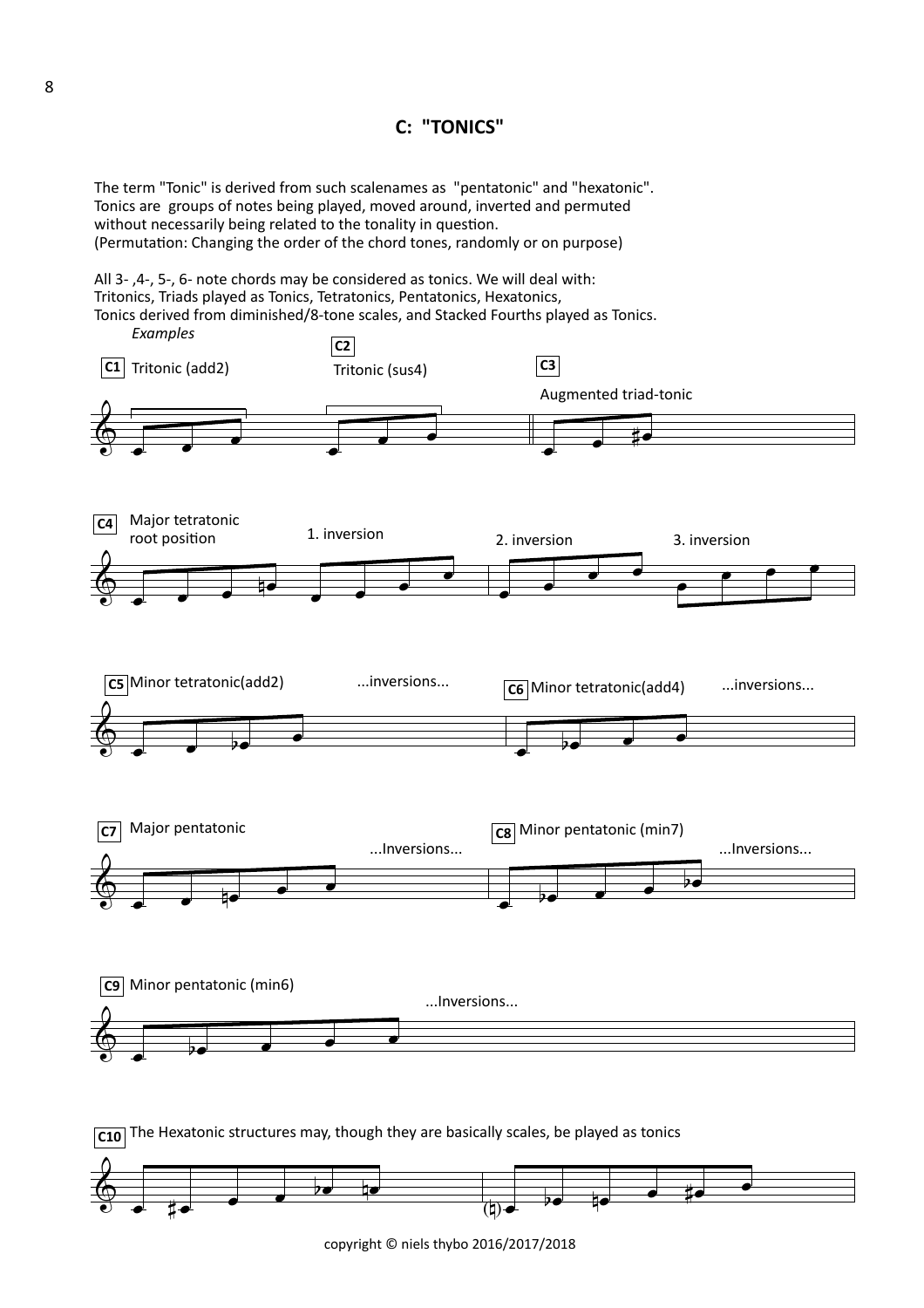## **C: "TONICS"**

The term "Tonic" is derived from such scalenames as "pentatonic" and "hexatonic". Tonics are groups of notes being played, moved around, inverted and permuted without necessarily being related to the tonality in question. (Permutation: Changing the order of the chord tones, randomly or on purpose)

All 3-, 4-, 5-, 6- note chords may be considered as tonics. We will deal with: Tritonics, Triads played as Tonics, Tetratonics, Pentatonics, Hexatonics, Tonics derived from diminished/8-tone scales, and Stacked Fourths played as Tonics.





copyright  $\odot$  niels thybo 2016/2017/2018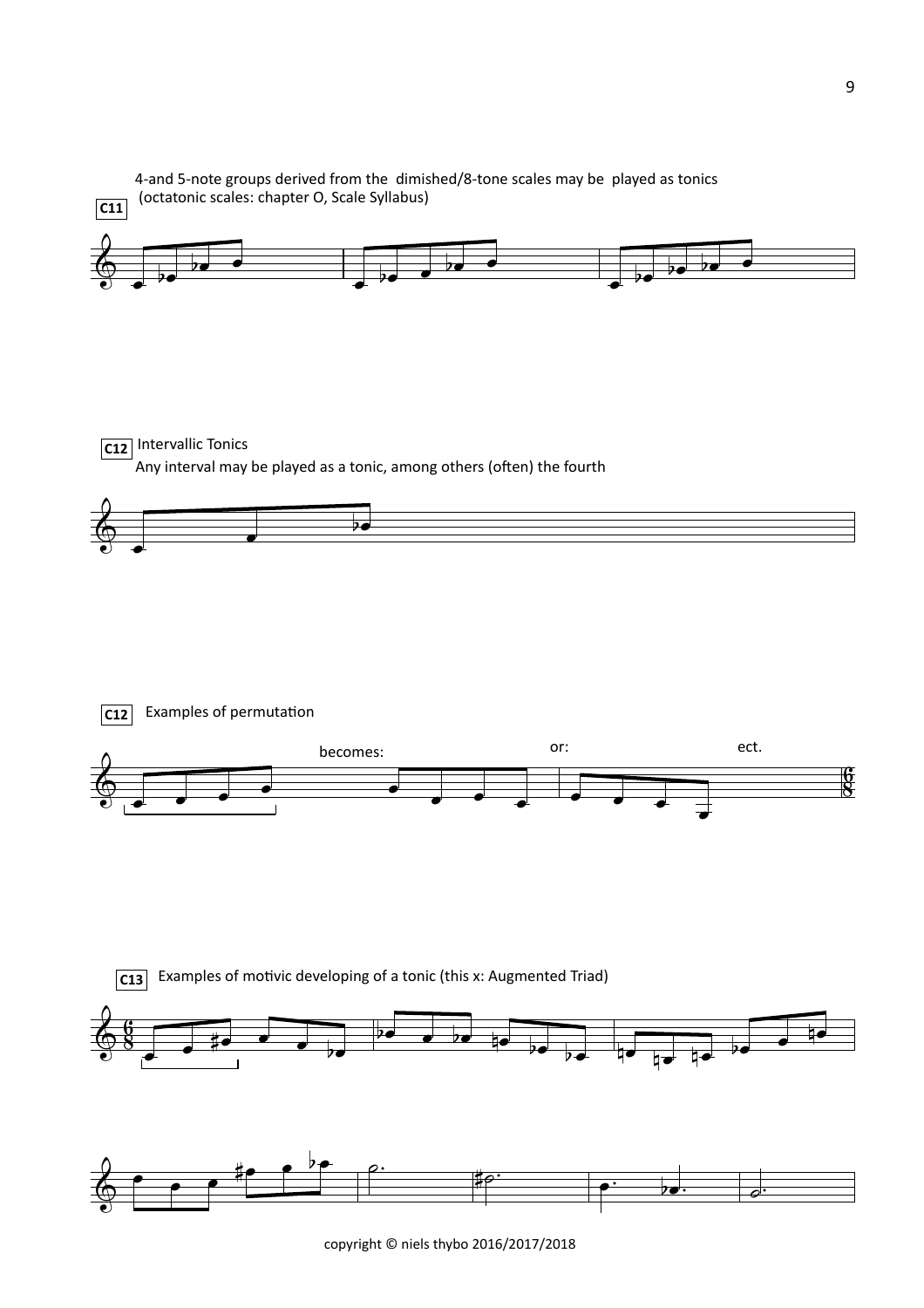

copyright © niels thybo 2016/2017/2018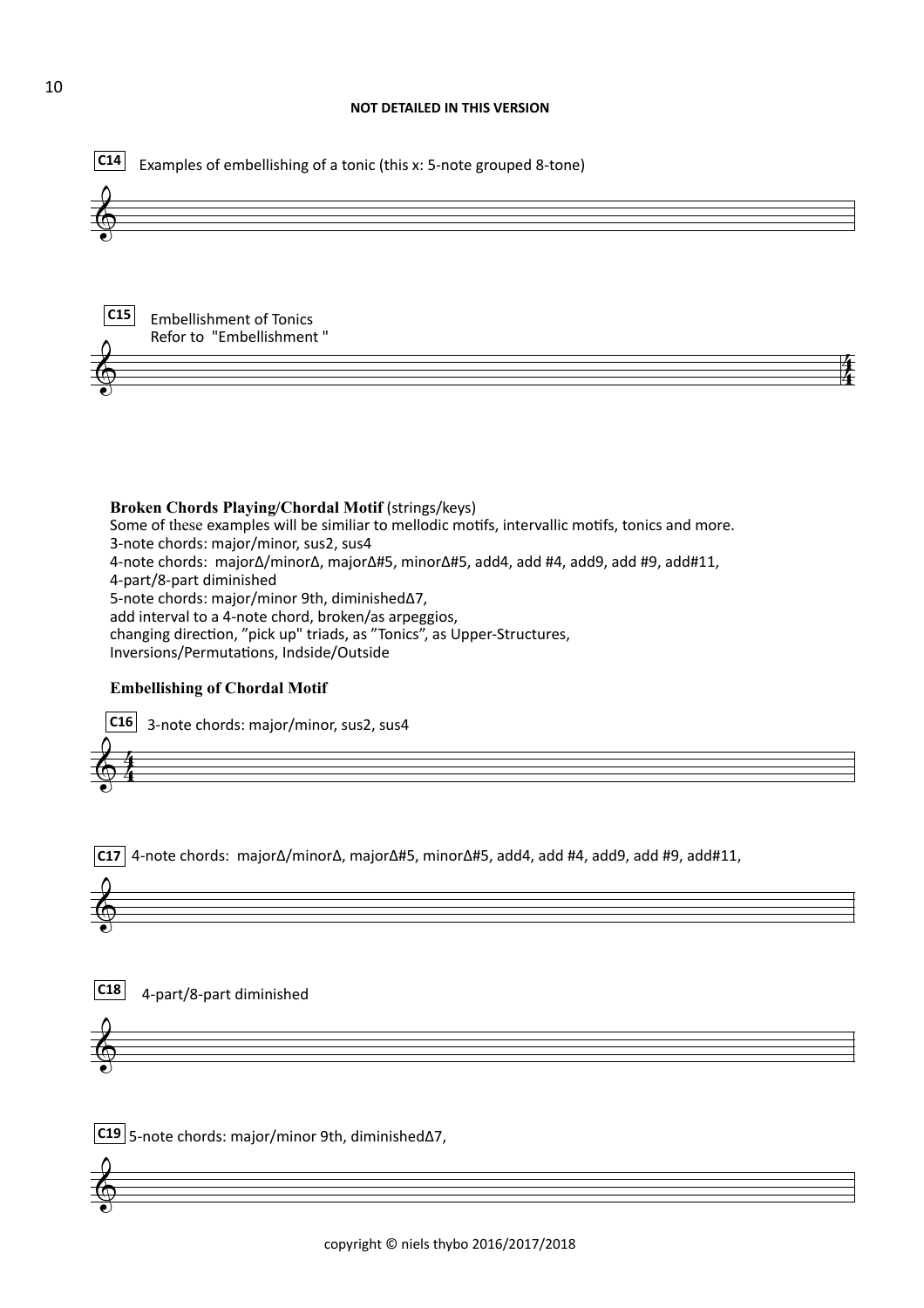



4 4



**Broken Chords Playing/Chordal Motif (strings/keys)** Some of these examples will be similiar to mellodic motifs, intervallic motifs, tonics and more. 3-note chords: major/minor, sus2, sus4 4-note chords: major∆/minor∆, major∆#5, minor∆#5, add4, add #4, add9, add #9, add#11, 4-part/8-part diminished 5-note chords: major/minor 9th, diminished∆7, add interval to a 4-note chord, broken/as arpeggios, changing direction, "pick up" triads, as "Tonics", as Upper-Structures, Inversions/Permutations, Indside/Outside

#### **Embellishing of Chordal Motif**

4 4  $\pmb{\phi}$ **C16** 3-note chords: major/minor, sus2, sus4

**C17** 4-note chords: major∆/minor∆, major∆#5, minor∆#5, add4, add #4, add9, add #9, add#11,



**C18** 4-part/8-part diminished

 $\pmb{\phi}$ 

 $\pmb{\phi}$ 

**C19** 5-note chords: major/minor 9th, diminished∆7,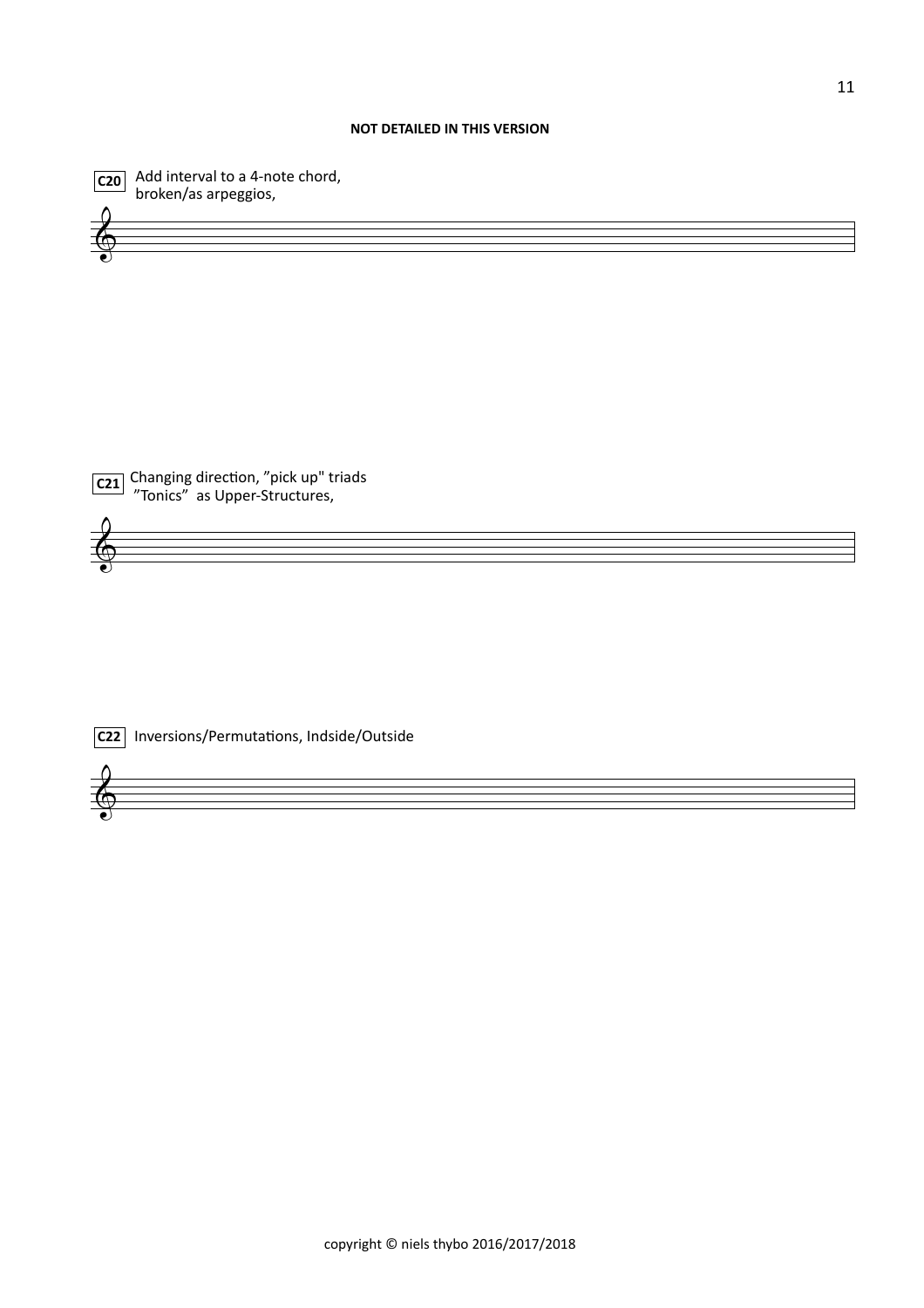#### **NOT DETAILED IN THIS VERSION**



 $\overline{\text{c20}}$  Add interval to a 4-note chord, broken/as arpeggios,



 $\pmb{\phi}$ 

 $\pmb{\phi}$ 



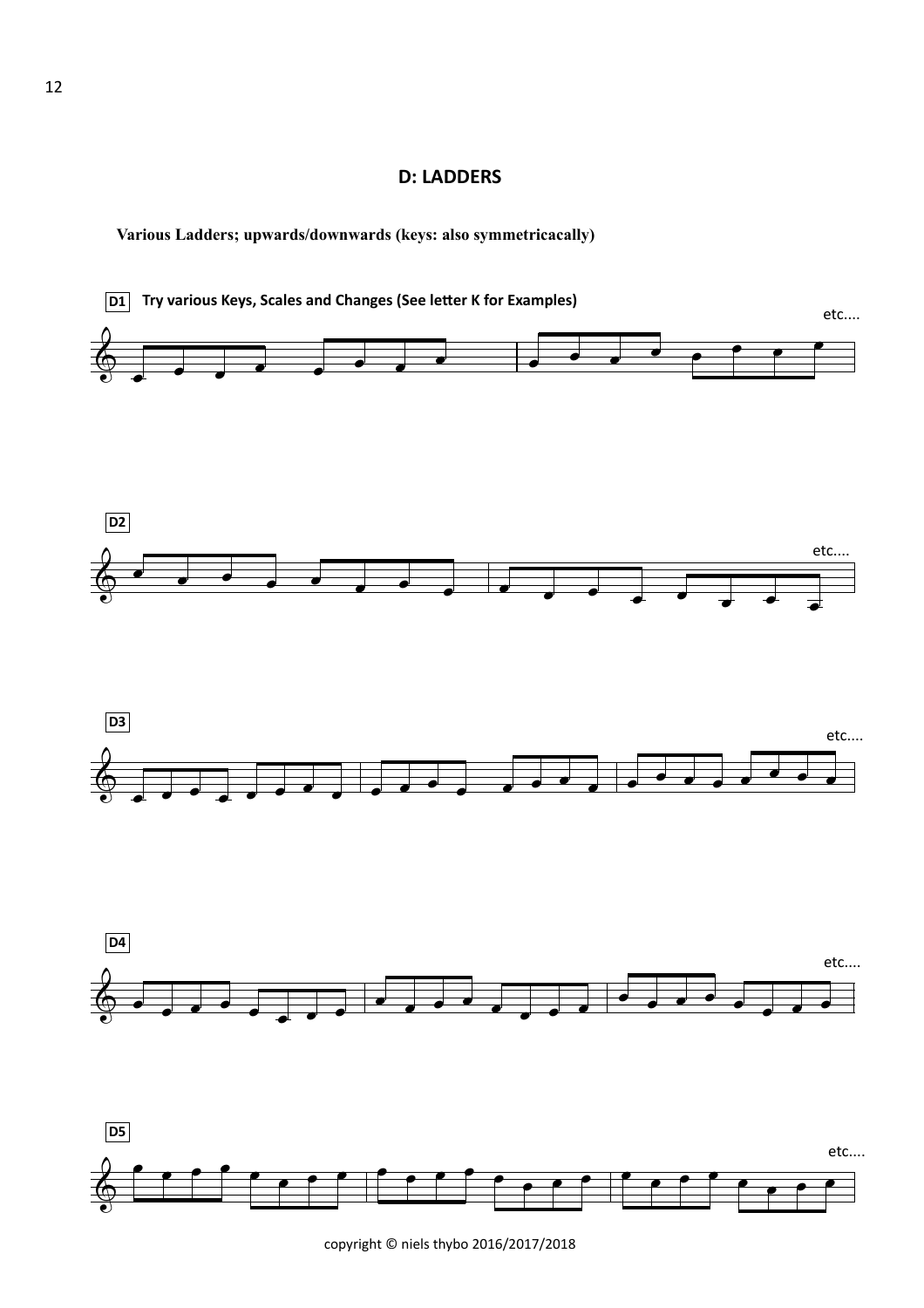### **D: LADDERS**

**Various Ladders; upwards/downwards (keys: also symmetricacally)**



copyright © niels thybo 2016/2017/2018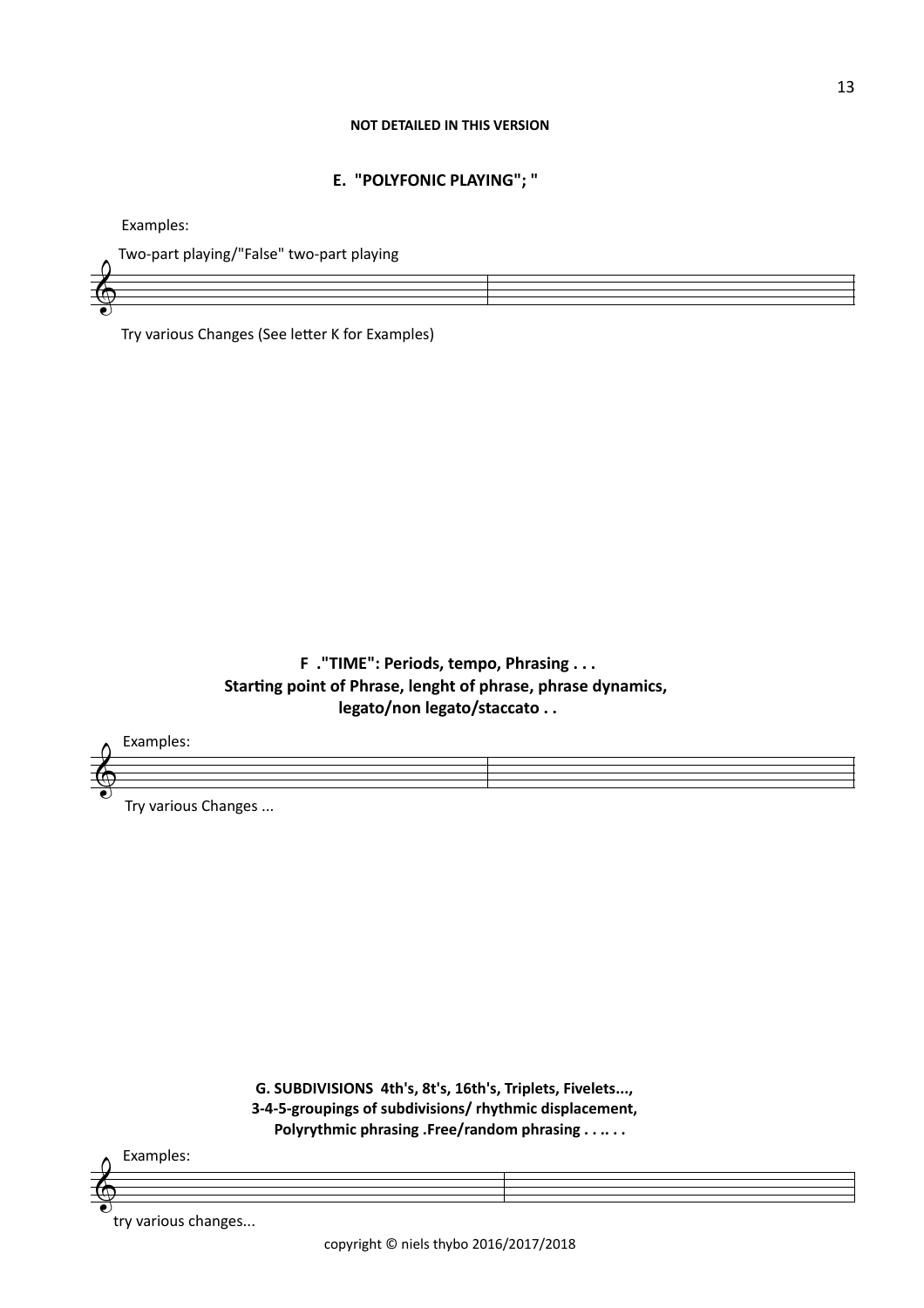#### **NOT DETAILED IN THIS VERSION**

### **E. "POLYFONIC PLAYING"; "**

Examples:

 $\pmb{\phi}$ 

Two-part playing/"False" two-part playing

Try various Changes (See letter K for Examples)

## **F** ."TIME": Periods, tempo, Phrasing . . . Starting point of Phrase, lenght of phrase, phrase dynamics, legato/non legato/staccato . .



G. SUBDIVISIONS 4th's, 8t's, 16th's, Triplets, Fivelets..., 3-4-5-groupings of subdivisions/ rhythmic displacement, Polyrythmic phrasing .Free/random phrasing . . .. . .

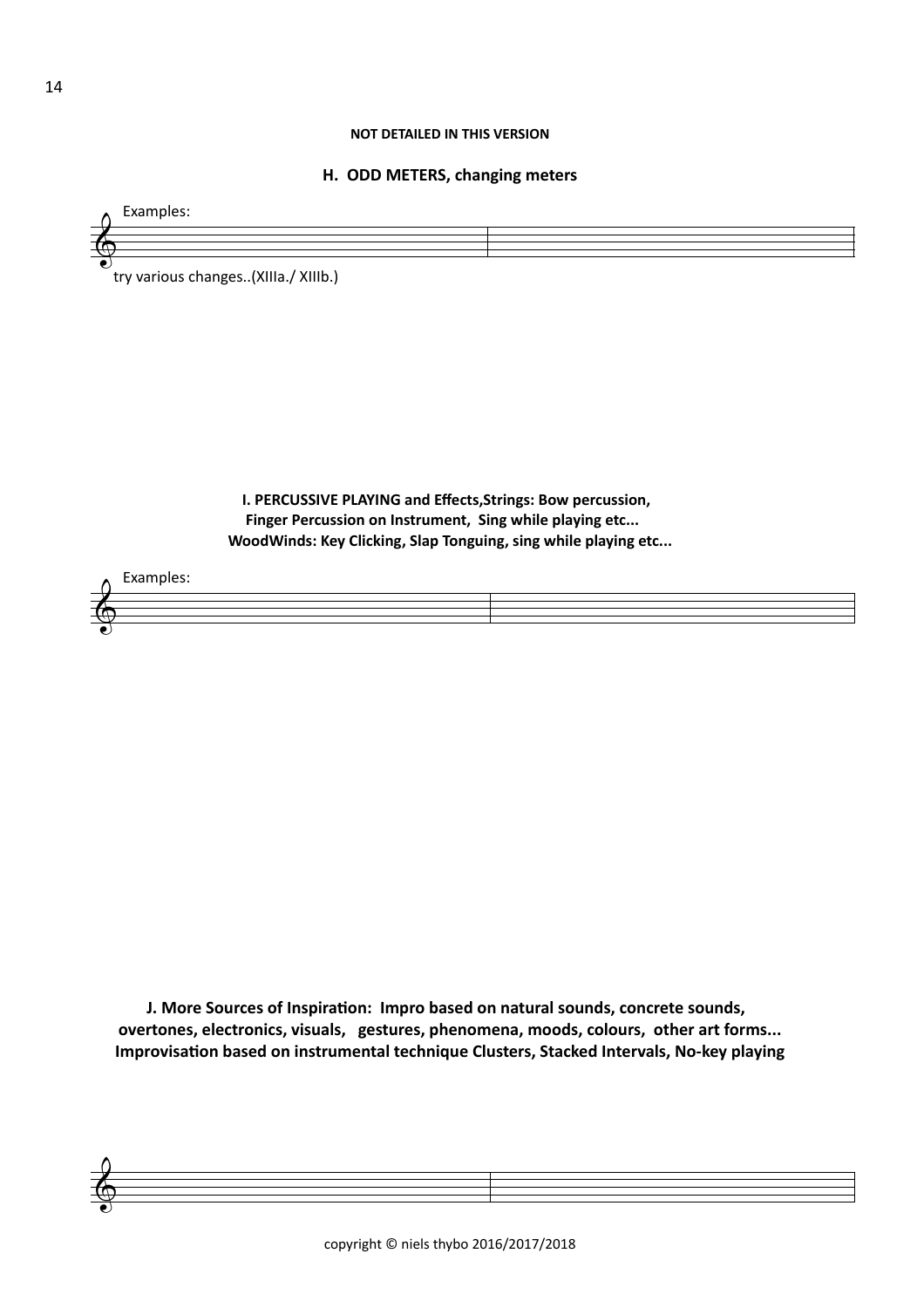#### **NOT DETAILED IN THIS VERSION**

#### **H. ODD METERS, changing meters**



try various changes..(XIIIa./ XIIIb.)

**I. PERCUSSIVE PLAYING and Effects, Strings: Bow percussion,** Finger Percussion on Instrument, Sing while playing etc... WoodWinds: Key Clicking, Slap Tonguing, sing while playing etc...



**J. More Sources of Inspiration: Impro based on natural sounds, concrete sounds,** overtones, electronics, visuals, gestures, phenomena, moods, colours, other art forms... Improvisation based on instrumental technique Clusters, Stacked Intervals, No-key playing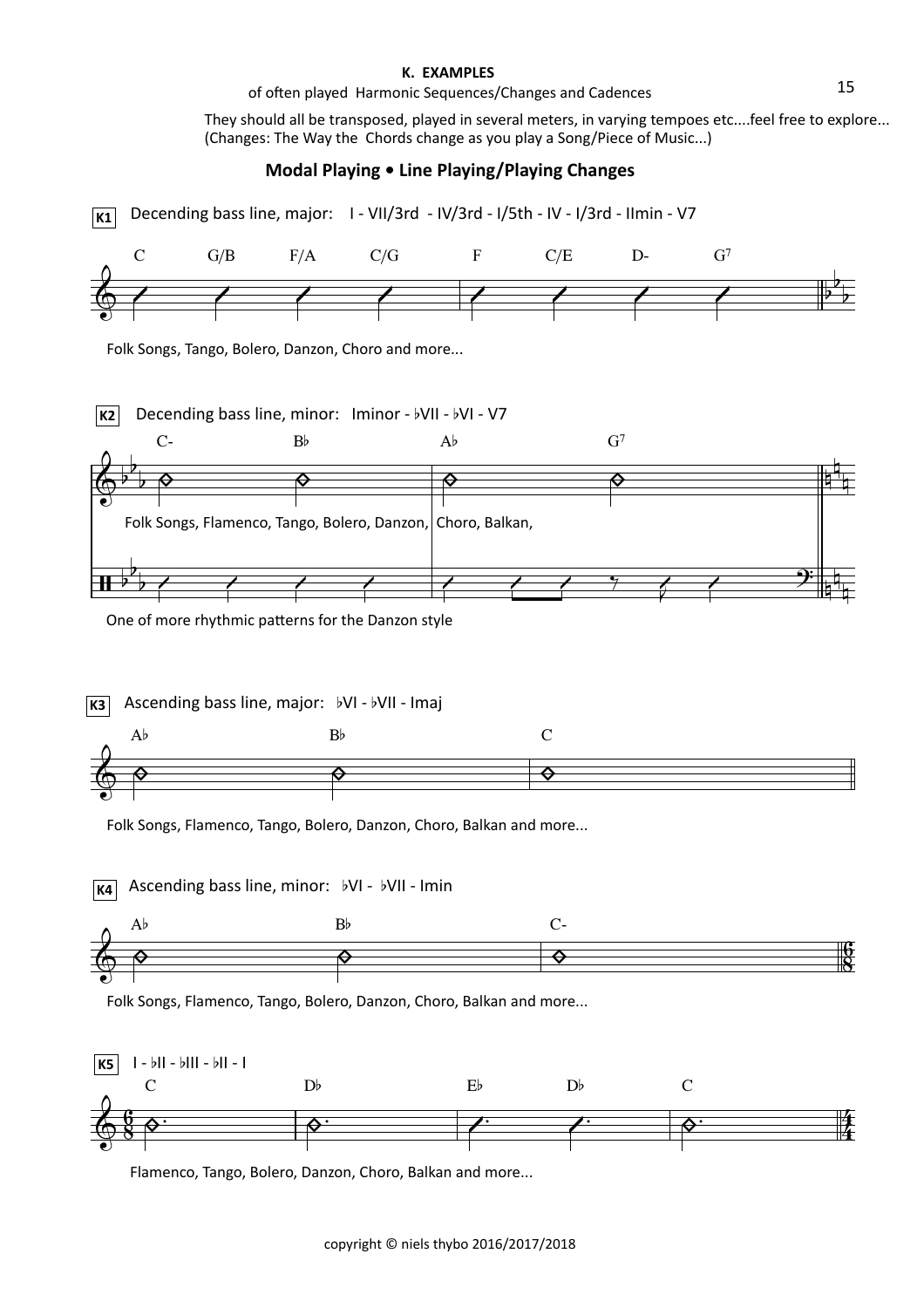#### **K. EXAMPLES**

#### of often played Harmonic Sequences/Changes and Cadences

They should all be transposed, played in several meters, in varying tempoes etc....feel free to explore... (Changes: The Way the Chords change as you play a Song/Piece of Music...)

### **Modal Playing • Line Playing/Playing Changes**

**K1** Decending bass line, major: I - VII/3rd - IV/3rd - I/5th - IV - I/3rd - IImin - V7



Folk Songs, Tango, Bolero, Danzon, Choro and more...



One of more rhythmic patterns for the Danzon style

**K3** Ascending bass line, major:  $bVI - bVII - Imaj$ 



Folk Songs, Flamenco, Tango, Bolero, Danzon, Choro, Balkan and more...

 $A\flat$  B $\flat$  C-6 **g**<br>8  $\pmb{\phi}$ **K4** Ascending bass line, minor:  $bVI - bVII - Imin$  $\phi$   $\qquad \qquad \phi$   $\qquad \qquad \phi$ 

Folk Songs, Flamenco, Tango, Bolero, Danzon, Choro, Balkan and more...



Flamenco, Tango, Bolero, Danzon, Choro, Balkan and more...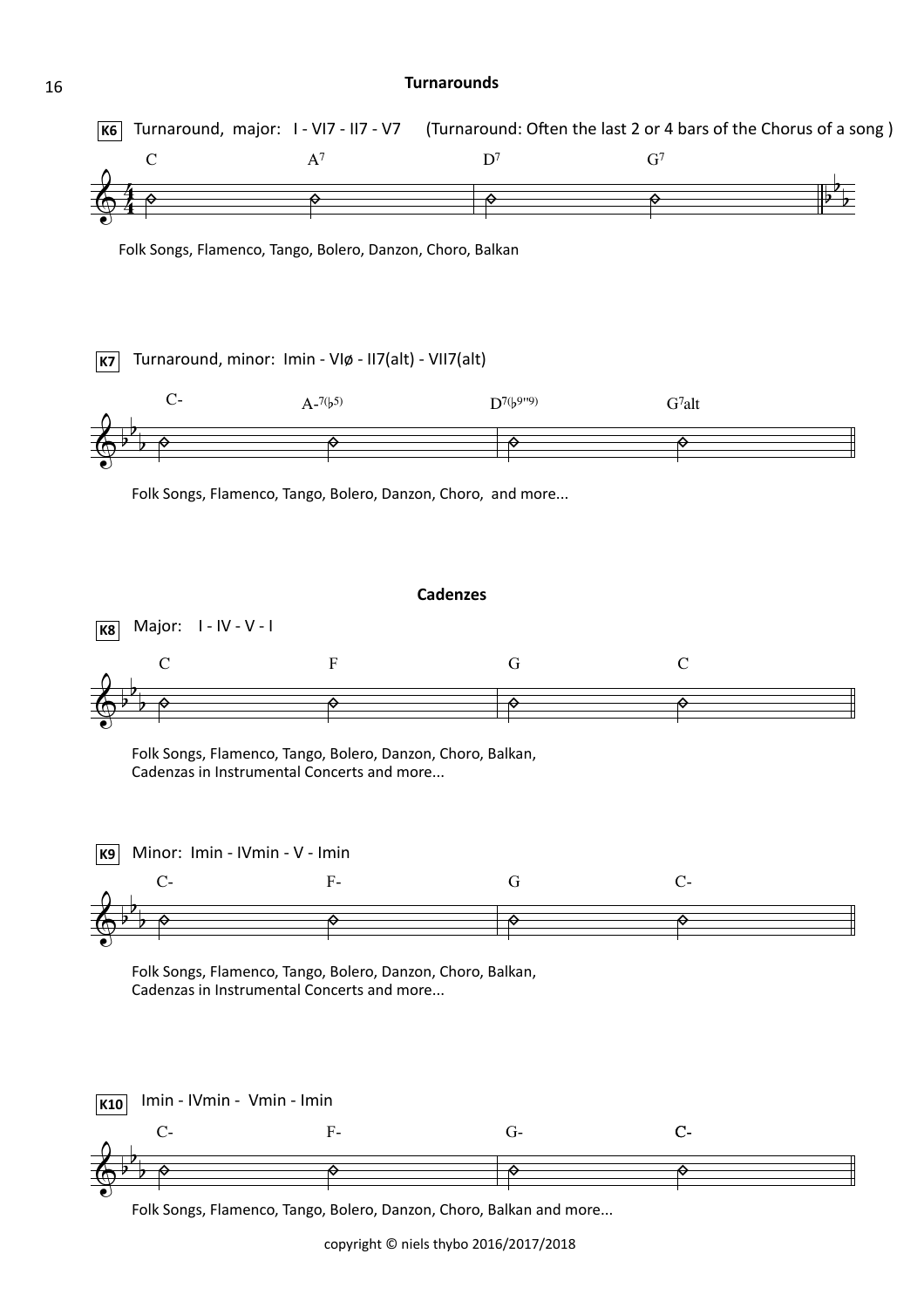#### **Turnarounds**

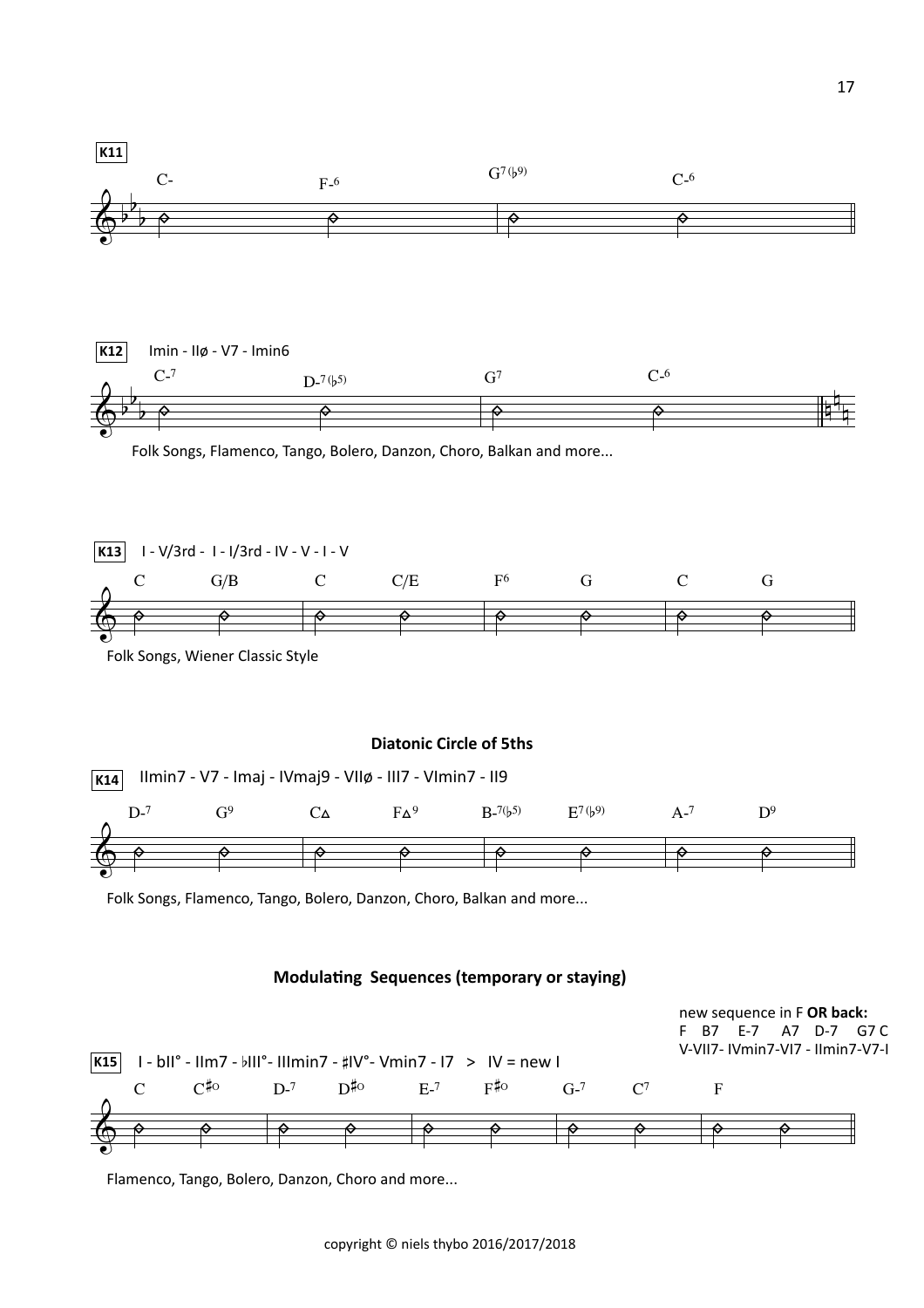

Flamenco, Tango, Bolero, Danzon, Choro and more...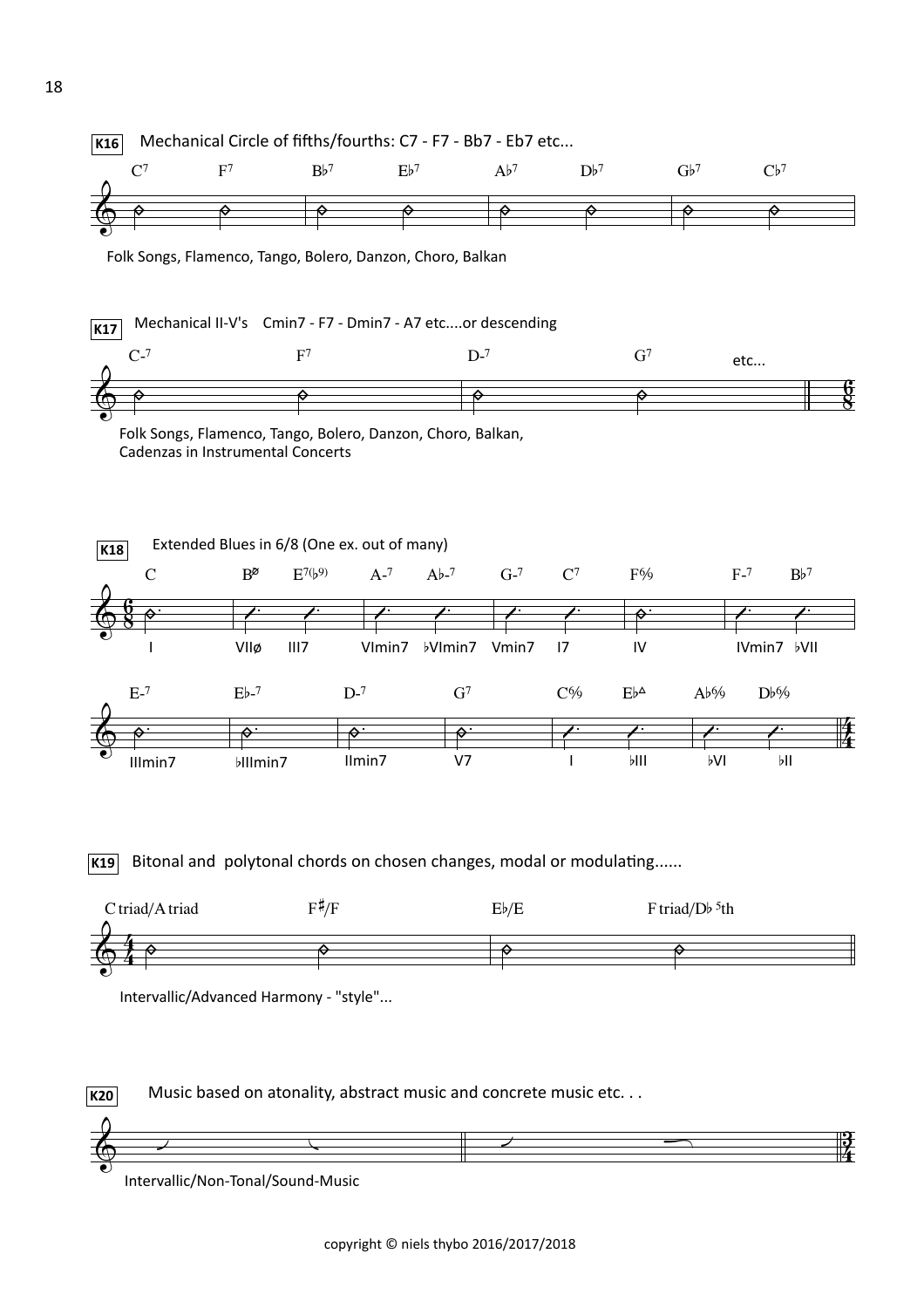



 Intervallic/Non-Tonal/Sound-Music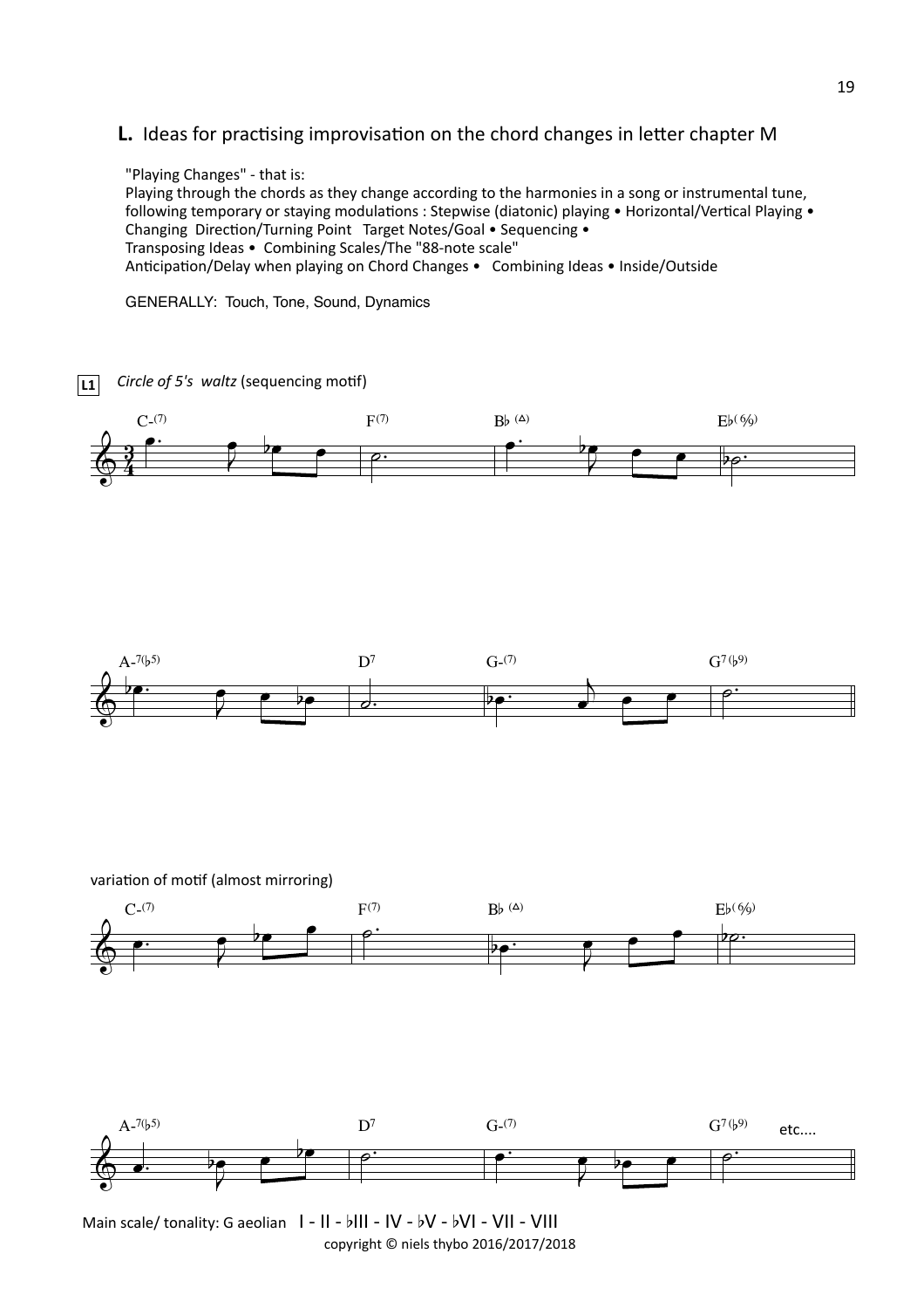## **L.** Ideas for practising improvisation on the chord changes in letter chapter M

"Playing Changes" - that is: Playing through the chords as they change according to the harmonies in a song or instrumental tune, following temporary or staying modulations : Stepwise (diatonic) playing • Horizontal/Vertical Playing • Changing Direction/Turning Point Target Notes/Goal • Sequencing • Transposing Ideas • Combining Scales/The "88-note scale" Anticipation/Delay when playing on Chord Changes • Combining Ideas • Inside/Outside

GENERALLY: Touch, Tone, Sound, Dynamics 



copyright  $©$  niels thybo 2016/2017/2018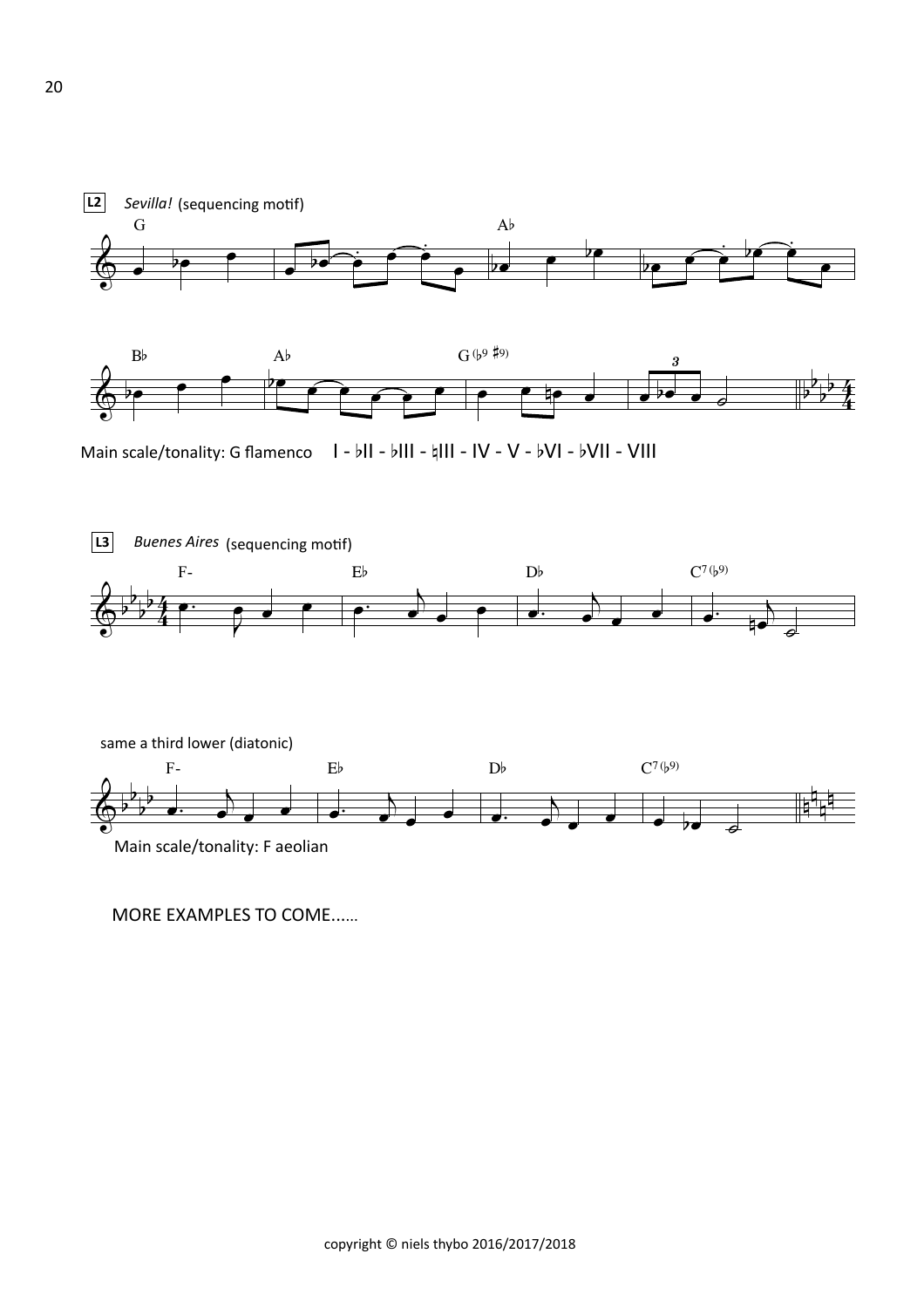



Main scale/tonality: G flamenco  $\|I - b\|I - b\|II - \frac{1}{4}III - IV - V - bVI - bVII - VIII$ 



MORE EXAMPLES TO COME......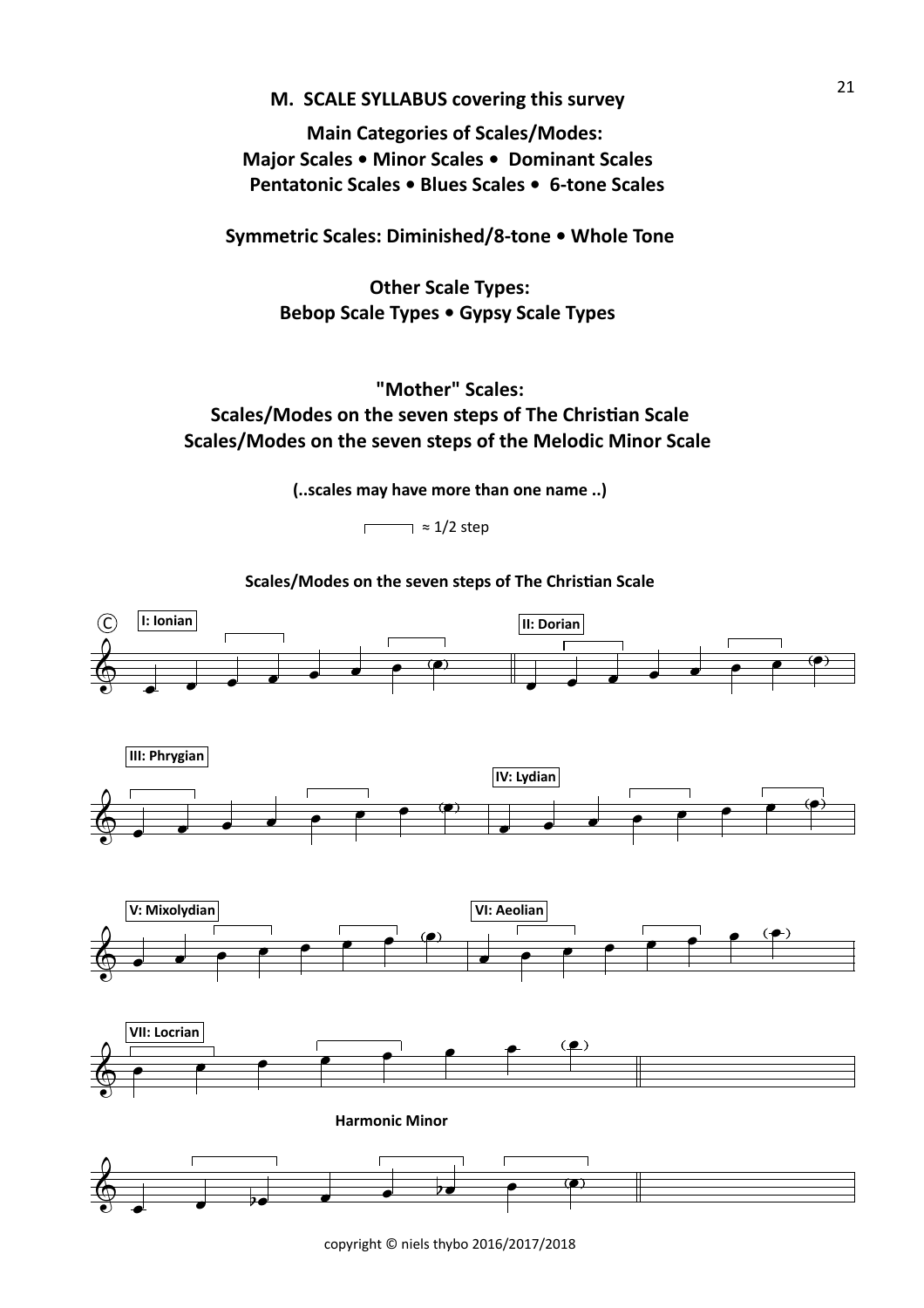# **M. SCALE SYLLABUS covering this survey**

**Main Categories of Scales/Modes: Major Scales • Minor Scales • Dominant Scales Pentatonic Scales • Blues Scales • 6-tone Scales** 

Symmetric Scales: Diminished/8-tone . Whole Tone

**Other Scale Types:** Bebop Scale Types • Gypsy Scale Types

# **"Mother" Scales: Scales/Modes on the seven steps of The Christian Scale** Scales/Modes on the seven steps of the Melodic Minor Scale

**(..scales may have more than one name ..)** 

 $\neg z 1/2$  step  $\Gamma$ 

Scales/Modes on the seven steps of The Christian Scale

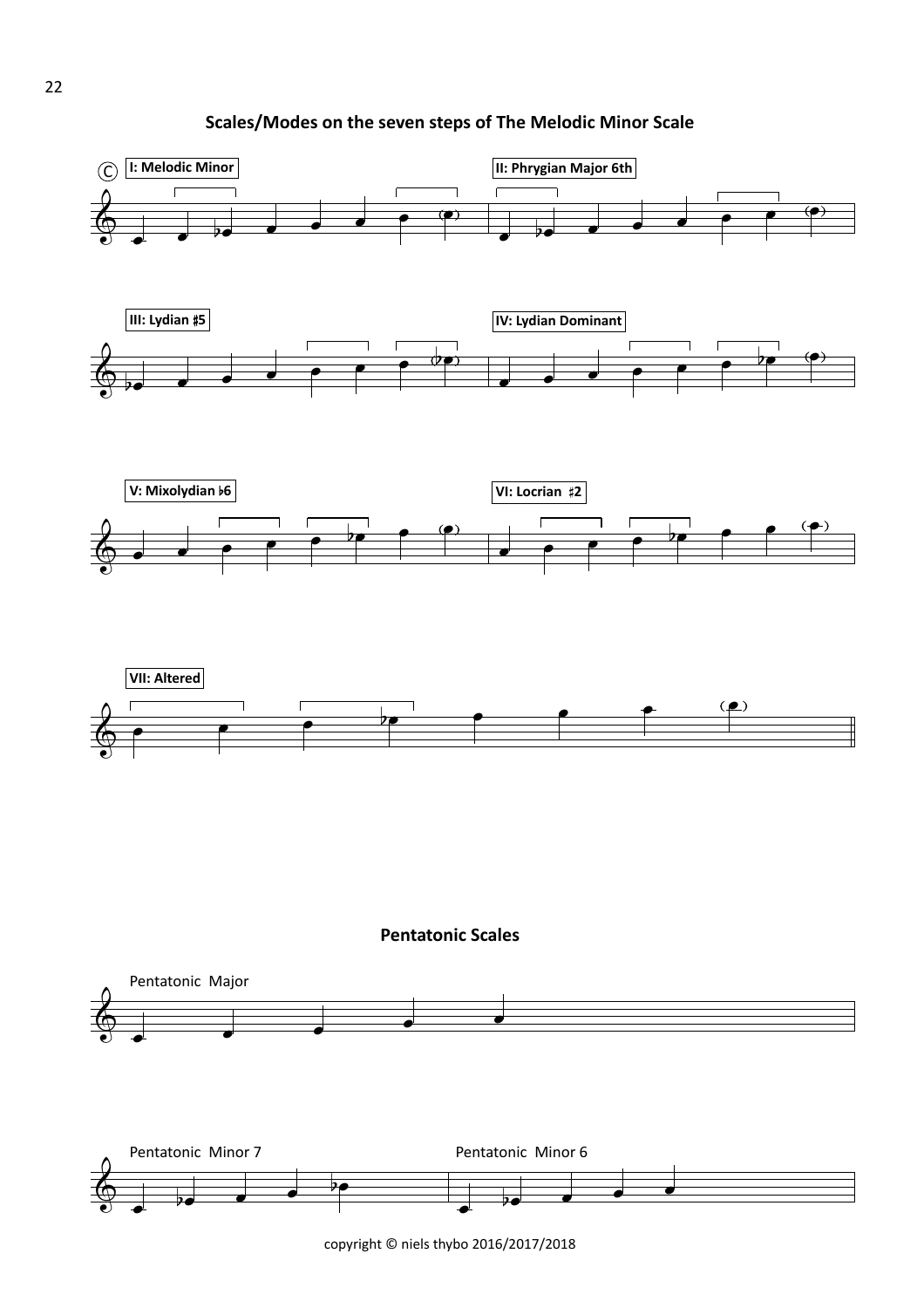**Scales/Modes on the seven steps of The Melodic Minor Scale** 

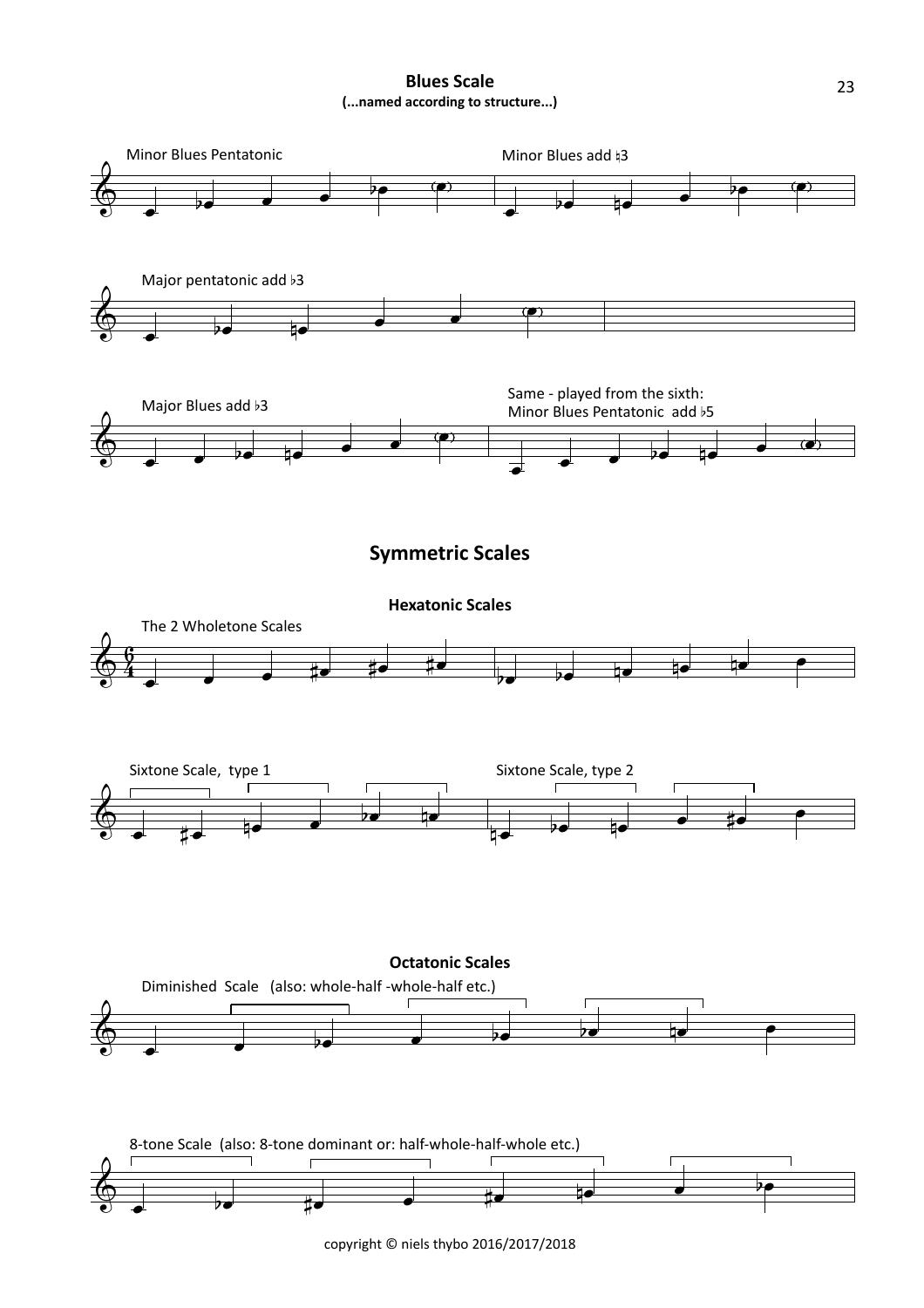**Blues Scale (...named according to structure...)**

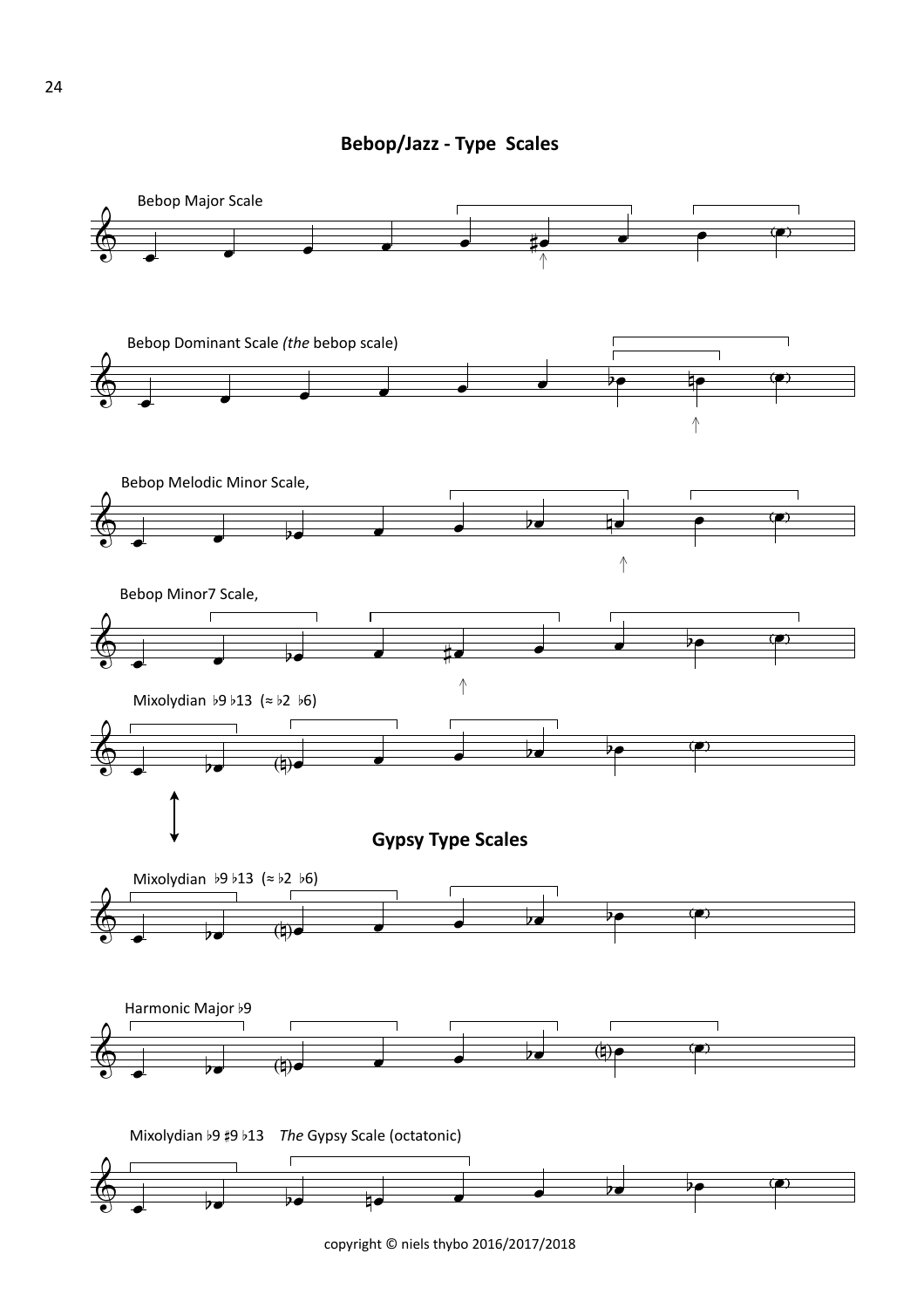**Bebop/Jazz - Type Scales** 

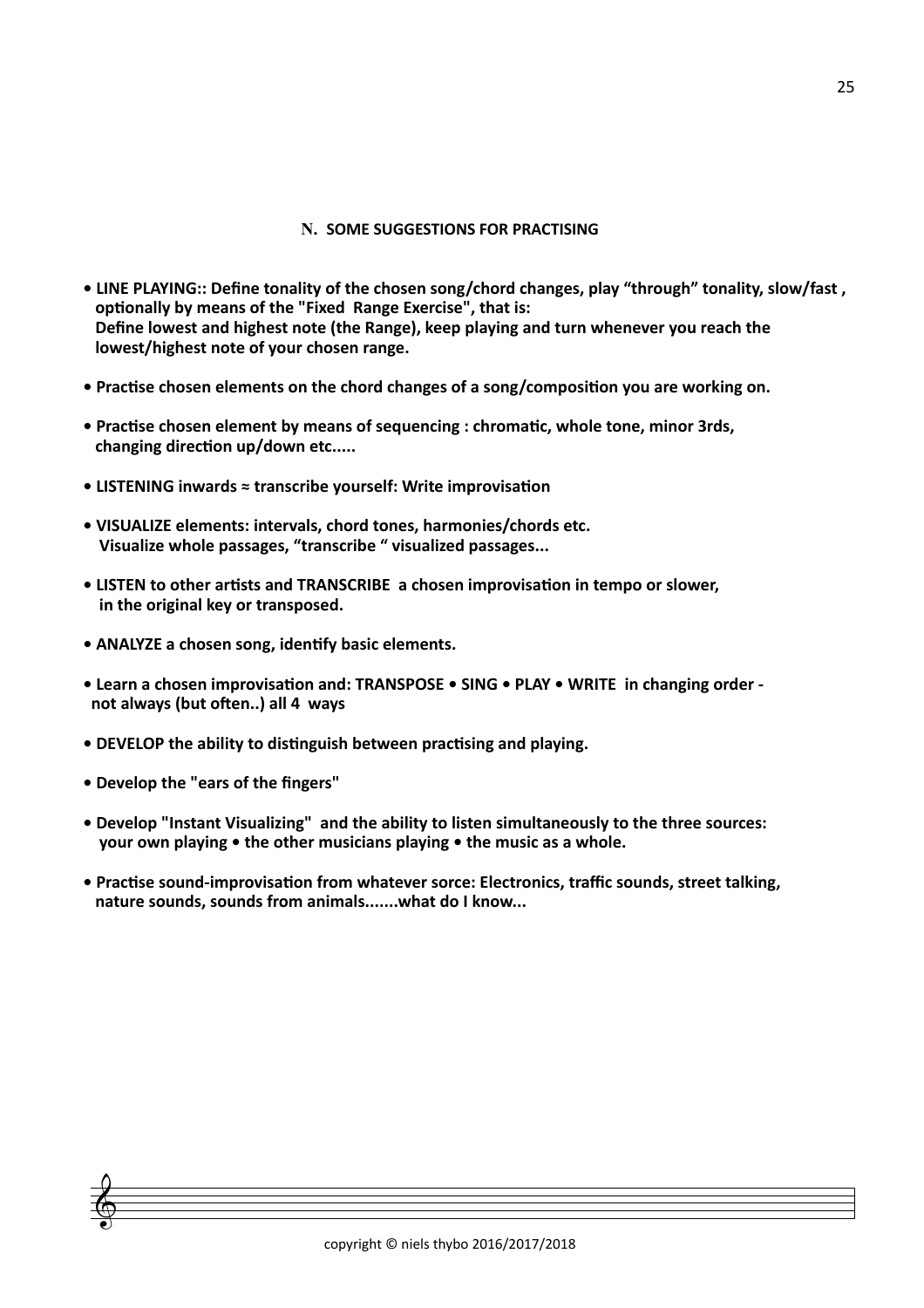#### **N. SOME SUGGESTIONS FOR PRACTISING**

- LINE PLAYING:: Define tonality of the chosen song/chord changes, play "through" tonality, slow/fast, optionally by means of the "Fixed Range Exercise", that is: Define lowest and highest note (the Range), keep playing and turn whenever you reach the **lowest/highest note of your chosen range.**
- Practise chosen elements on the chord changes of a song/composition you are working on.
- Practise chosen element by means of sequencing : chromatic, whole tone, minor 3rds, changing direction up/down etc.....
- **LISTENING inwards ≈ transcribe vourself: Write improvisation**
- VISUALIZE elements: intervals, chord tones, harmonies/chords etc. **Visualize whole passages, "transcribe " visualized passages...**
- LISTEN to other artists and TRANSCRIBE a chosen improvisation in tempo or slower, in the original key or transposed.
- ANALYZE a chosen song, identify basic elements.
- Learn a chosen improvisation and: TRANSPOSE SING PLAY WRITE in changing order not always (but often..) all 4 ways
- DEVELOP the ability to distinguish between practising and playing.
- **Develop the "ears of the fingers"**
- Develop "Instant Visualizing" and the ability to listen simultaneously to the three sources: **vour own playing • the other musicians playing • the music as a whole.**
- Practise sound-improvisation from whatever sorce: Electronics, traffic sounds, street talking, nature sounds, sounds from animals.......what do I know...